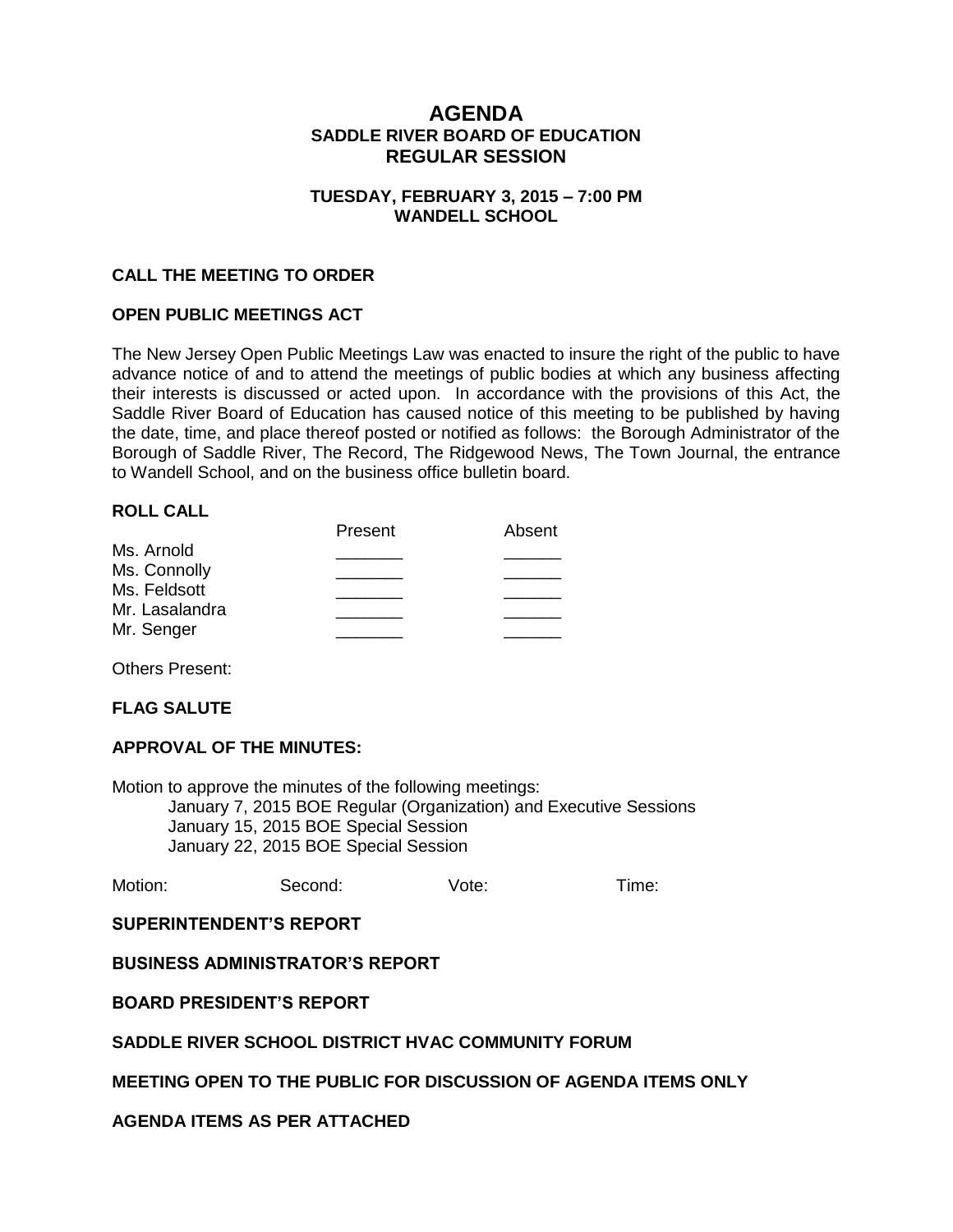# **AGENDA SADDLE RIVER BOARD OF EDUCATION REGULAR SESSION**

## **TUESDAY, FEBRUARY 3, 2015 – 7:00 PM WANDELL SCHOOL**

## **CALL THE MEETING TO ORDER**

## **OPEN PUBLIC MEETINGS ACT**

The New Jersey Open Public Meetings Law was enacted to insure the right of the public to have advance notice of and to attend the meetings of public bodies at which any business affecting their interests is discussed or acted upon. In accordance with the provisions of this Act, the Saddle River Board of Education has caused notice of this meeting to be published by having the date, time, and place thereof posted or notified as follows: the Borough Administrator of the Borough of Saddle River, The Record, The Ridgewood News, The Town Journal, the entrance to Wandell School, and on the business office bulletin board.

## **ROLL CALL**

|                | Present | Absent |
|----------------|---------|--------|
| Ms. Arnold     |         |        |
| Ms. Connolly   |         |        |
| Ms. Feldsott   |         |        |
| Mr. Lasalandra |         |        |
|                |         |        |
| Mr. Senger     |         |        |

Others Present:

## **FLAG SALUTE**

## **APPROVAL OF THE MINUTES:**

Motion to approve the minutes of the following meetings: January 7, 2015 BOE Regular (Organization) and Executive Sessions January 15, 2015 BOE Special Session January 22, 2015 BOE Special Session

Motion: Second: Vote: Time:

## **SUPERINTENDENT'S REPORT**

## **BUSINESS ADMINISTRATOR'S REPORT**

## **BOARD PRESIDENT'S REPORT**

## **SADDLE RIVER SCHOOL DISTRICT HVAC COMMUNITY FORUM**

# **MEETING OPEN TO THE PUBLIC FOR DISCUSSION OF AGENDA ITEMS ONLY**

# **AGENDA ITEMS AS PER ATTACHED**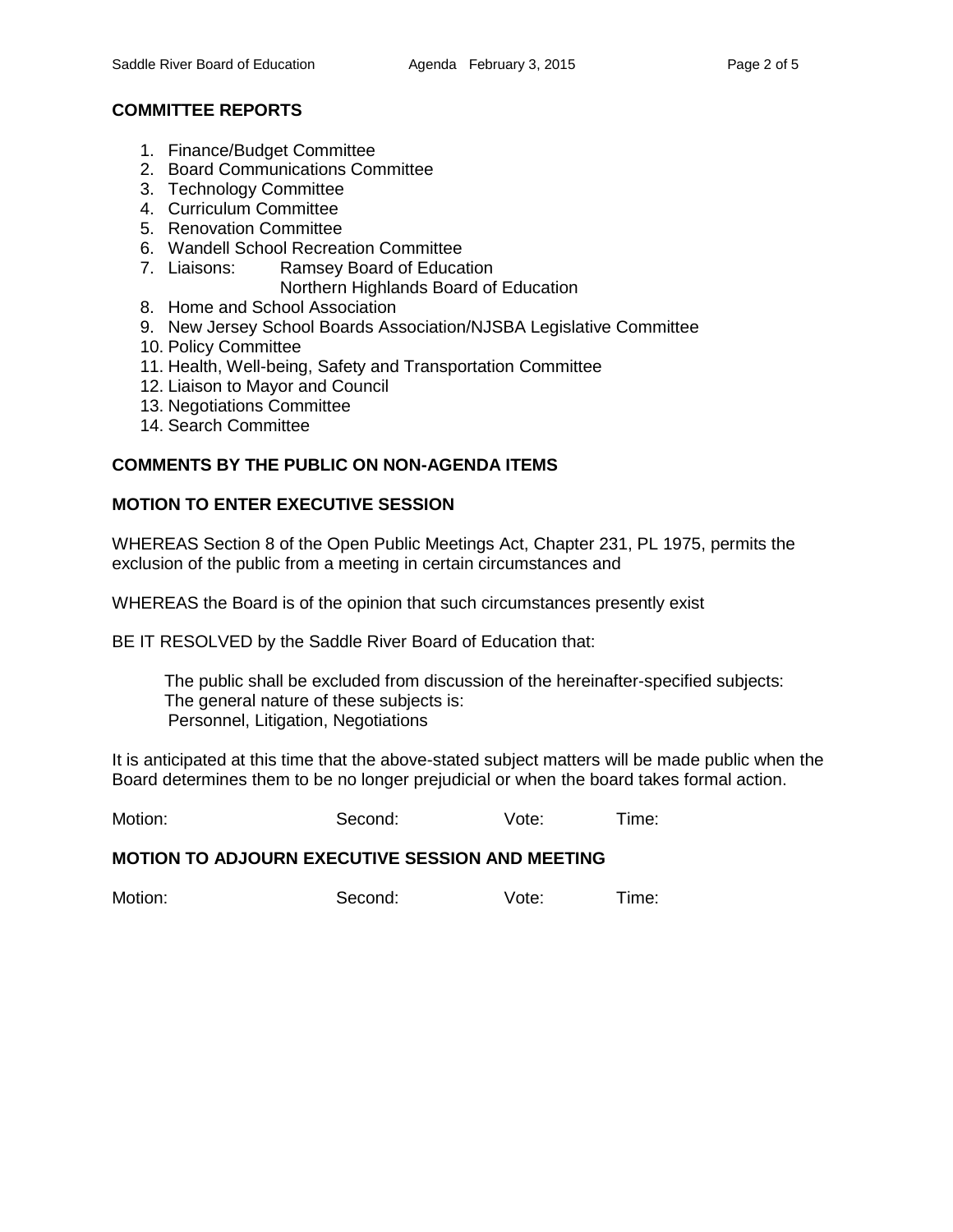# **COMMITTEE REPORTS**

- 1. Finance/Budget Committee
- 2. Board Communications Committee
- 3. Technology Committee
- 4. Curriculum Committee
- 5. Renovation Committee
- 6. Wandell School Recreation Committee
- 7. Liaisons: Ramsey Board of Education
	- Northern Highlands Board of Education
- 8. Home and School Association
- 9. New Jersey School Boards Association/NJSBA Legislative Committee
- 10. Policy Committee
- 11. Health, Well-being, Safety and Transportation Committee
- 12. Liaison to Mayor and Council
- 13. Negotiations Committee
- 14. Search Committee

# **COMMENTS BY THE PUBLIC ON NON-AGENDA ITEMS**

# **MOTION TO ENTER EXECUTIVE SESSION**

WHEREAS Section 8 of the Open Public Meetings Act, Chapter 231, PL 1975, permits the exclusion of the public from a meeting in certain circumstances and

WHEREAS the Board is of the opinion that such circumstances presently exist

BE IT RESOLVED by the Saddle River Board of Education that:

 The public shall be excluded from discussion of the hereinafter-specified subjects: The general nature of these subjects is: Personnel, Litigation, Negotiations

It is anticipated at this time that the above-stated subject matters will be made public when the Board determines them to be no longer prejudicial or when the board takes formal action.

Motion: Second: Vote: Time:

## **MOTION TO ADJOURN EXECUTIVE SESSION AND MEETING**

Motion: Second: Vote: Time: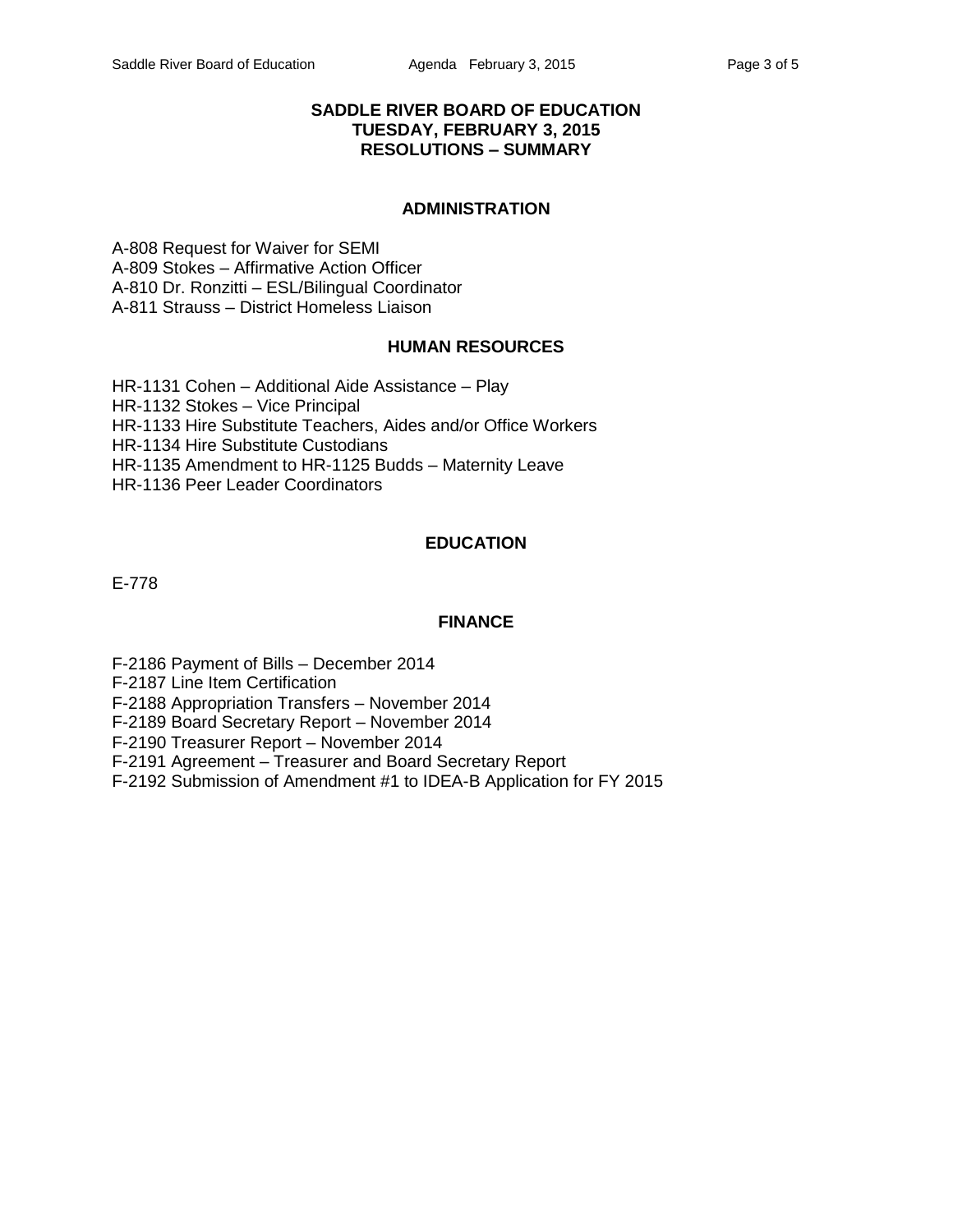## **SADDLE RIVER BOARD OF EDUCATION TUESDAY, FEBRUARY 3, 2015 RESOLUTIONS – SUMMARY**

## **ADMINISTRATION**

A-808 Request for Waiver for SEMI A-809 Stokes – Affirmative Action Officer A-810 Dr. Ronzitti – ESL/Bilingual Coordinator A-811 Strauss – District Homeless Liaison

## **HUMAN RESOURCES**

HR-1131 Cohen – Additional Aide Assistance – Play HR-1132 Stokes – Vice Principal HR-1133 Hire Substitute Teachers, Aides and/or Office Workers HR-1134 Hire Substitute Custodians HR-1135 Amendment to HR-1125 Budds – Maternity Leave HR-1136 Peer Leader Coordinators

# **EDUCATION**

E-778

#### **FINANCE**

F-2186 Payment of Bills – December 2014

F-2187 Line Item Certification

F-2188 Appropriation Transfers – November 2014

F-2189 Board Secretary Report – November 2014

F-2190 Treasurer Report – November 2014

F-2191 Agreement – Treasurer and Board Secretary Report

F-2192 Submission of Amendment #1 to IDEA-B Application for FY 2015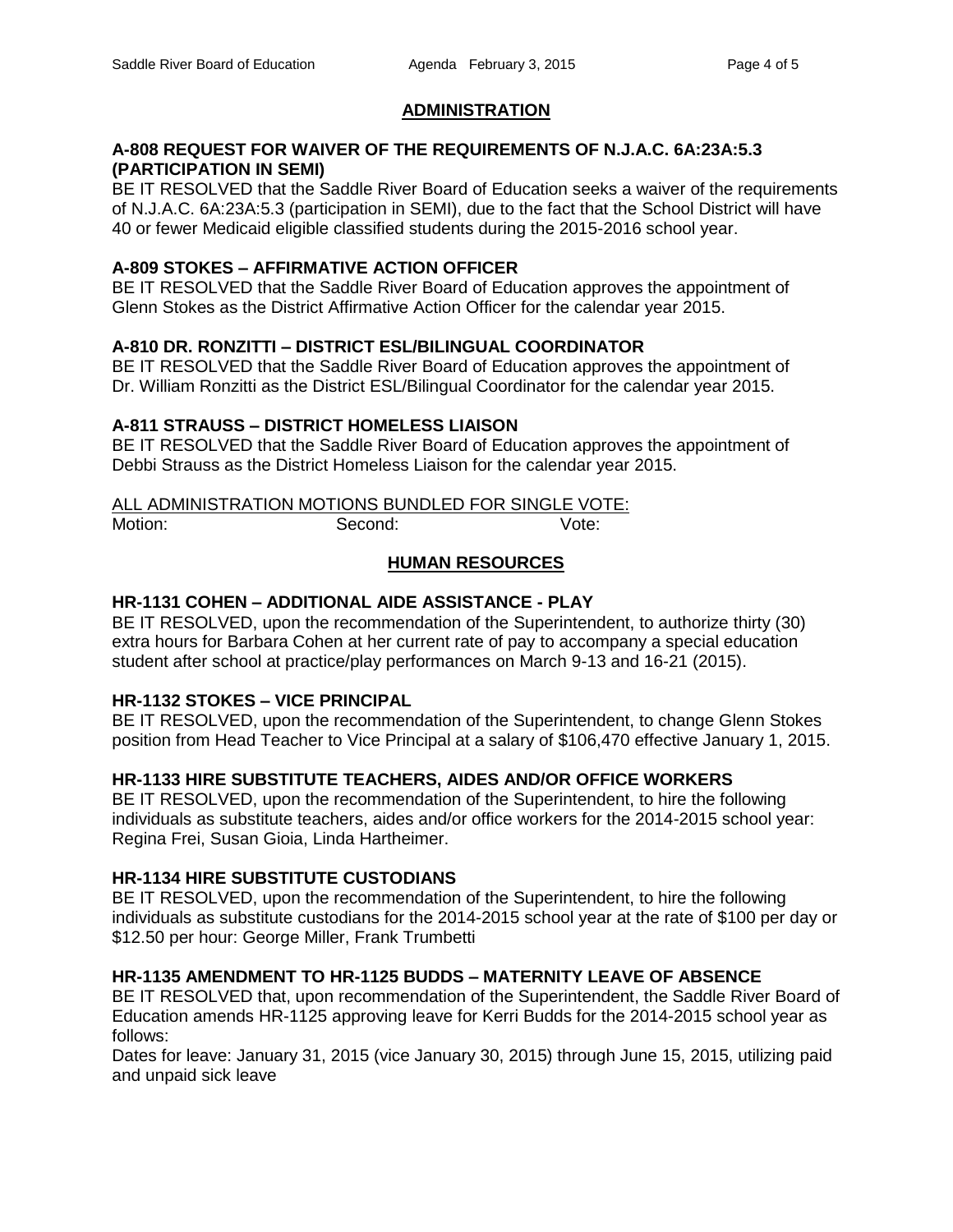# **ADMINISTRATION**

## **A-808 REQUEST FOR WAIVER OF THE REQUIREMENTS OF N.J.A.C. 6A:23A:5.3 (PARTICIPATION IN SEMI)**

BE IT RESOLVED that the Saddle River Board of Education seeks a waiver of the requirements of N.J.A.C. 6A:23A:5.3 (participation in SEMI), due to the fact that the School District will have 40 or fewer Medicaid eligible classified students during the 2015-2016 school year.

# **A-809 STOKES – AFFIRMATIVE ACTION OFFICER**

BE IT RESOLVED that the Saddle River Board of Education approves the appointment of Glenn Stokes as the District Affirmative Action Officer for the calendar year 2015.

# **A-810 DR. RONZITTI – DISTRICT ESL/BILINGUAL COORDINATOR**

BE IT RESOLVED that the Saddle River Board of Education approves the appointment of Dr. William Ronzitti as the District ESL/Bilingual Coordinator for the calendar year 2015.

# **A-811 STRAUSS – DISTRICT HOMELESS LIAISON**

BE IT RESOLVED that the Saddle River Board of Education approves the appointment of Debbi Strauss as the District Homeless Liaison for the calendar year 2015.

# ALL ADMINISTRATION MOTIONS BUNDLED FOR SINGLE VOTE:

Motion: Second: Second: Vote:

# **HUMAN RESOURCES**

# **HR-1131 COHEN – ADDITIONAL AIDE ASSISTANCE - PLAY**

BE IT RESOLVED, upon the recommendation of the Superintendent, to authorize thirty (30) extra hours for Barbara Cohen at her current rate of pay to accompany a special education student after school at practice/play performances on March 9-13 and 16-21 (2015).

# **HR-1132 STOKES – VICE PRINCIPAL**

BE IT RESOLVED, upon the recommendation of the Superintendent, to change Glenn Stokes position from Head Teacher to Vice Principal at a salary of \$106,470 effective January 1, 2015.

# **HR-1133 HIRE SUBSTITUTE TEACHERS, AIDES AND/OR OFFICE WORKERS**

BE IT RESOLVED, upon the recommendation of the Superintendent, to hire the following individuals as substitute teachers, aides and/or office workers for the 2014-2015 school year: Regina Frei, Susan Gioia, Linda Hartheimer.

# **HR-1134 HIRE SUBSTITUTE CUSTODIANS**

BE IT RESOLVED, upon the recommendation of the Superintendent, to hire the following individuals as substitute custodians for the 2014-2015 school year at the rate of \$100 per day or \$12.50 per hour: George Miller, Frank Trumbetti

# **HR-1135 AMENDMENT TO HR-1125 BUDDS – MATERNITY LEAVE OF ABSENCE**

BE IT RESOLVED that, upon recommendation of the Superintendent, the Saddle River Board of Education amends HR-1125 approving leave for Kerri Budds for the 2014-2015 school year as follows:

Dates for leave: January 31, 2015 (vice January 30, 2015) through June 15, 2015, utilizing paid and unpaid sick leave